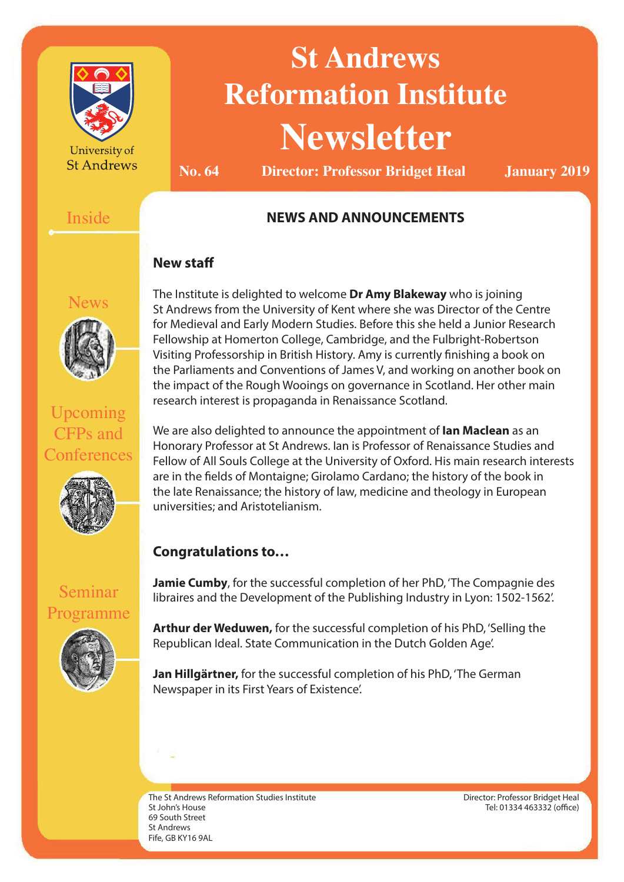

University of **St Andrews** 

# **St Andrews Reformation Institute Newsletter**

**No. 64 Director: Professor Bridget Heal January 2019**

#### Inside

#### **NEWS AND ANNOUNCEMENTS**

#### **New staff**



Upcoming CFPs and **Conferences** 



The Institute is delighted to welcome **Dr Amy Blakeway** who is joining St Andrews from the University of Kent where she was Director of the Centre for Medieval and Early Modern Studies. Before this she held a Junior Research Fellowship at Homerton College, Cambridge, and the Fulbright-Robertson Visiting Professorship in British History. Amy is currently finishing a book on the Parliaments and Conventions of James V, and working on another book on the impact of the Rough Wooings on governance in Scotland. Her other main research interest is propaganda in Renaissance Scotland.

We are also delighted to announce the appointment of **Ian Maclean** as an Honorary Professor at St Andrews. Ian is Professor of Renaissance Studies and Fellow of All Souls College at the University of Oxford. His main research interests are in the fields of Montaigne; Girolamo Cardano; the history of the book in the late Renaissance; the history of law, medicine and theology in European universities; and Aristotelianism.

#### **Congratulations to…**

Seminar Programme



libraires and the Development of the Publishing Industry in Lyon: 1502-1562'.

**Jamie Cumby**, for the successful completion of her PhD, 'The Compagnie des

**Arthur der Weduwen,** for the successful completion of his PhD, 'Selling the Republican Ideal. State Communication in the Dutch Golden Age'.

**Jan Hillgärtner,** for the successful completion of his PhD, 'The German Newspaper in its First Years of Existence'.

The St Andrews Reformation Studies Institute St John's House 69 South Street St Andrews Fife, GB KY16 9AL

Director: Professor Bridget Heal Tel: 01334 463332 (office)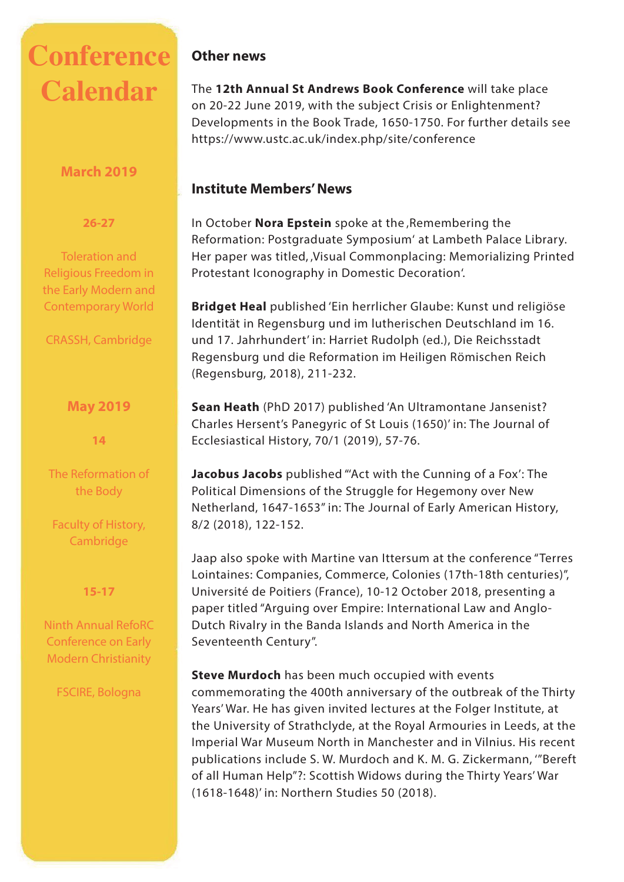## **Conference Calendar**

#### **March 2019**

#### **26-27**

Toleration and Religious Freedom in the Early Modern and Contemporary World

CRASSH, Cambridge

#### **May 2019**

**14**

The Reformation of the Body

Faculty of History, Cambridge

#### **15-17**

Ninth Annual RefoRC Conference on Early Modern Christianity

FSCIRE, Bologna

#### **Other news**

The **12th Annual St Andrews Book Conference** will take place on 20-22 June 2019, with the subject Crisis or Enlightenment? Developments in the Book Trade, 1650-1750. For further details see https://www.ustc.ac.uk/index.php/site/conference

#### **Institute Members' News**

In October **Nora Epstein** spoke at the Remembering the Reformation: Postgraduate Symposium' at Lambeth Palace Library. Her paper was titled, 'Visual Commonplacing: Memorializing Printed Protestant Iconography in Domestic Decoration'.

**Bridget Heal** published 'Ein herrlicher Glaube: Kunst und religiöse Identität in Regensburg und im lutherischen Deutschland im 16. und 17. Jahrhundert' in: Harriet Rudolph (ed.), Die Reichsstadt Regensburg und die Reformation im Heiligen Römischen Reich (Regensburg, 2018), 211-232.

**Sean Heath** (PhD 2017) published 'An Ultramontane Jansenist? Charles Hersent's Panegyric of St Louis (1650)' in: The Journal of Ecclesiastical History, 70/1 (2019), 57-76.

**Jacobus Jacobs** published "'Act with the Cunning of a Fox': The Political Dimensions of the Struggle for Hegemony over New Netherland, 1647-1653" in: The Journal of Early American History, 8/2 (2018), 122-152.

Jaap also spoke with Martine van Ittersum at the conference "Terres Lointaines: Companies, Commerce, Colonies (17th-18th centuries)", Université de Poitiers (France), 10-12 October 2018, presenting a paper titled "Arguing over Empire: International Law and Anglo-Dutch Rivalry in the Banda Islands and North America in the Seventeenth Century".

**Steve Murdoch** has been much occupied with events commemorating the 400th anniversary of the outbreak of the Thirty Years' War. He has given invited lectures at the Folger Institute, at the University of Strathclyde, at the Royal Armouries in Leeds, at the Imperial War Museum North in Manchester and in Vilnius. His recent publications include S. W. Murdoch and K. M. G. Zickermann, '"Bereft of all Human Help"?: Scottish Widows during the Thirty Years' War (1618-1648)' in: Northern Studies 50 (2018).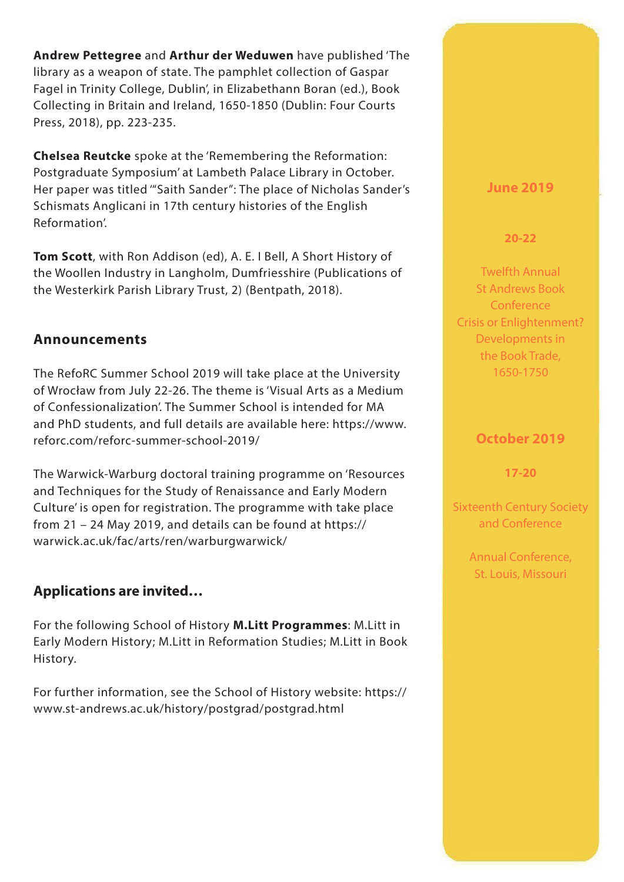**Andrew Pettegree** and **Arthur der Weduwen** have published 'The library as a weapon of state. The pamphlet collection of Gaspar Fagel in Trinity College, Dublin', in Elizabethann Boran (ed.), Book Collecting in Britain and Ireland, 1650-1850 (Dublin: Four Courts Press, 2018), pp. 223-235.

**Chelsea Reutcke** spoke at the 'Remembering the Reformation: Postgraduate Symposium' at Lambeth Palace Library in October. Her paper was titled '"Saith Sander": The place of Nicholas Sander's Schismats Anglicani in 17th century histories of the English Reformation'.

**Tom Scott**, with Ron Addison (ed), A. E. I Bell, A Short History of the Woollen Industry in Langholm, Dumfriesshire (Publications of the Westerkirk Parish Library Trust, 2) (Bentpath, 2018).

#### **Announcements**

The RefoRC Summer School 2019 will take place at the University of Wrocław from July 22-26. The theme is 'Visual Arts as a Medium of Confessionalization'. The Summer School is intended for MA and PhD students, and full details are available here: https://www. reforc.com/reforc-summer-school-2019/

The Warwick-Warburg doctoral training programme on 'Resources and Techniques for the Study of Renaissance and Early Modern Culture' is open for registration. The programme with take place from 21 – 24 May 2019, and details can be found at https:// warwick.ac.uk/fac/arts/ren/warburgwarwick/

#### **Applications are invited…**

For the following School of History **M.Litt Programmes**: M.Litt in Early Modern History; M.Litt in Reformation Studies; M.Litt in Book History.

For further information, see the School of History website: https:// www.st-andrews.ac.uk/history/postgrad/postgrad.html

#### **June 2019**

**20-22**

Twelfth Annual St Andrews Book **Conference** Crisis or Enlightenment? Developments in the Book Trade, 1650-1750

#### **October 2019**

**17-20**

Sixteenth Century Society and Conference

> Annual Conference, St. Louis, Missouri